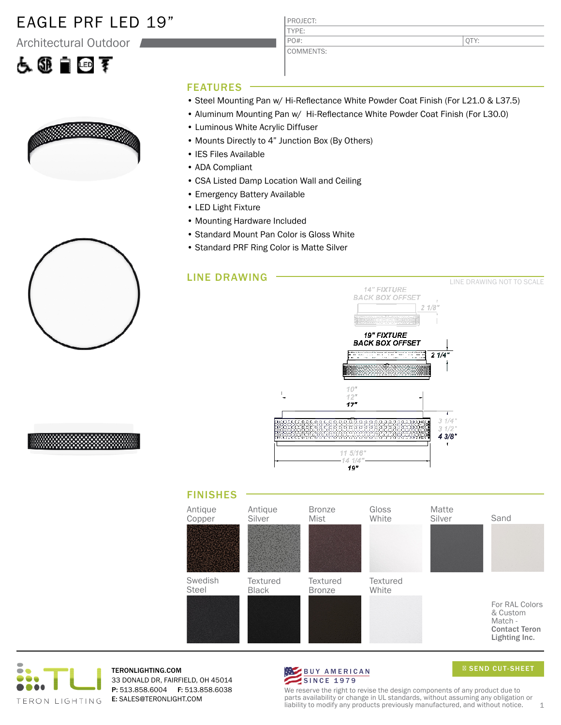### EAGLE PRF LED 19"

Architectural Outdoor

# 占领自回军



PROJECT: TYPE: PO#:

COMMENTS:

QTY:

#### FEATURES

- Steel Mounting Pan w/ Hi-Reflectance White Powder Coat Finish (For L21.0 & L37.5)
- Aluminum Mounting Pan w/ Hi-Reflectance White Powder Coat Finish (For L30.0)
- Luminous White Acrylic Diffuser
- Mounts Directly to 4" Junction Box (By Others)
- IES Files Available
- ADA Compliant
- CSA Listed Damp Location Wall and Ceiling
- Emergency Battery Available
- LED Light Fixture
- Mounting Hardware Included
- Standard Mount Pan Color is Gloss White
- Standard PRF Ring Color is Matte Silver









TERONLIGHTING.COM 33 DONALD DR, FAIRFIELD, OH 45014 P: 513.858.6004 F: 513.858.6038 E: SALES@TERONLIGHT.COM



SEND CUT-SHEET

We reserve the right to revise the design components of any product due to parts availability or change in UL standards, without assuming any obligation or liability to modify any products previously manufactured, and without notice.  $1$